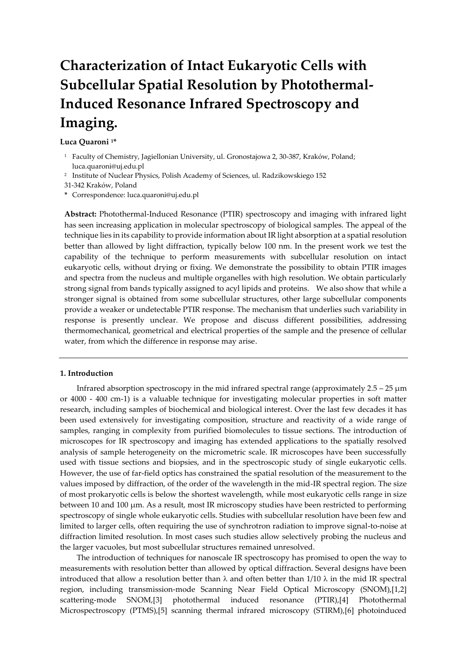# **Characterization of Intact Eukaryotic Cells with Subcellular Spatial Resolution by Photothermal-Induced Resonance Infrared Spectroscopy and Imaging.**

# **Luca Quaroni <sup>1</sup>\***

- <sup>1</sup> Faculty of Chemistry, Jagiellonian University, ul. Gronostajowa 2, 30-387, Kraków, Poland; luca.quaroni@uj.edu.pl
- 2 Institute of Nuclear Physics, Polish Academy of Sciences, ul. Radzikowskiego 152
- 31-342 Kraków, Poland
- **\*** Correspondence: luca.quaroni@uj.edu.pl

**Abstract:** Photothermal-Induced Resonance (PTIR) spectroscopy and imaging with infrared light has seen increasing application in molecular spectroscopy of biological samples. The appeal of the technique lies in its capability to provide information about IR light absorption at a spatial resolution better than allowed by light diffraction, typically below 100 nm. In the present work we test the capability of the technique to perform measurements with subcellular resolution on intact eukaryotic cells, without drying or fixing. We demonstrate the possibility to obtain PTIR images and spectra from the nucleus and multiple organelles with high resolution. We obtain particularly strong signal from bands typically assigned to acyl lipids and proteins. We also show that while a stronger signal is obtained from some subcellular structures, other large subcellular components provide a weaker or undetectable PTIR response. The mechanism that underlies such variability in response is presently unclear. We propose and discuss different possibilities, addressing thermomechanical, geometrical and electrical properties of the sample and the presence of cellular water, from which the difference in response may arise.

### **1. Introduction**

Infrared absorption spectroscopy in the mid infrared spectral range (approximately  $2.5 - 25 \mu m$ ) or 4000 - 400 cm-1) is a valuable technique for investigating molecular properties in soft matter research, including samples of biochemical and biological interest. Over the last few decades it has been used extensively for investigating composition, structure and reactivity of a wide range of samples, ranging in complexity from purified biomolecules to tissue sections. The introduction of microscopes for IR spectroscopy and imaging has extended applications to the spatially resolved analysis of sample heterogeneity on the micrometric scale. IR microscopes have been successfully used with tissue sections and biopsies, and in the spectroscopic study of single eukaryotic cells. However, the use of far-field optics has constrained the spatial resolution of the measurement to the values imposed by diffraction, of the order of the wavelength in the mid-IR spectral region. The size of most prokaryotic cells is below the shortest wavelength, while most eukaryotic cells range in size between 10 and 100 µm. As a result, most IR microscopy studies have been restricted to performing spectroscopy of single whole eukaryotic cells. Studies with subcellular resolution have been few and limited to larger cells, often requiring the use of synchrotron radiation to improve signal-to-noise at diffraction limited resolution. In most cases such studies allow selectively probing the nucleus and the larger vacuoles, but most subcellular structures remained unresolved.

The introduction of techniques for nanoscale IR spectroscopy has promised to open the way to measurements with resolution better than allowed by optical diffraction. Several designs have been introduced that allow a resolution better than  $\lambda$  and often better than 1/10  $\lambda$  in the mid IR spectral region, including transmission-mode Scanning Near Field Optical Microscopy (SNOM),[1,2] scattering-mode SNOM,[3] photothermal induced resonance (PTIR),[4] Photothermal Microspectroscopy (PTMS),[5] scanning thermal infrared microscopy (STIRM),[6] photoinduced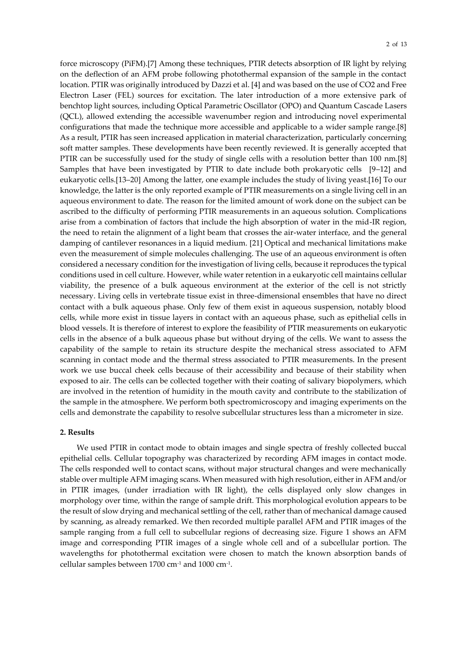force microscopy (PiFM).[7] Among these techniques, PTIR detects absorption of IR light by relying on the deflection of an AFM probe following photothermal expansion of the sample in the contact location. PTIR was originally introduced by Dazzi et al. [4] and was based on the use of CO2 and Free Electron Laser (FEL) sources for excitation. The later introduction of a more extensive park of benchtop light sources, including Optical Parametric Oscillator (OPO) and Quantum Cascade Lasers (QCL), allowed extending the accessible wavenumber region and introducing novel experimental configurations that made the technique more accessible and applicable to a wider sample range.[8] As a result, PTIR has seen increased application in material characterization, particularly concerning soft matter samples. These developments have been recently reviewed. It is generally accepted that PTIR can be successfully used for the study of single cells with a resolution better than 100 nm.[8] Samples that have been investigated by PTIR to date include both prokaryotic cells [9–12] and eukaryotic cells.[13–20] Among the latter, one example includes the study of living yeast.[16] To our knowledge, the latter is the only reported example of PTIR measurements on a single living cell in an aqueous environment to date. The reason for the limited amount of work done on the subject can be ascribed to the difficulty of performing PTIR measurements in an aqueous solution. Complications arise from a combination of factors that include the high absorption of water in the mid-IR region, the need to retain the alignment of a light beam that crosses the air-water interface, and the general damping of cantilever resonances in a liquid medium. [21] Optical and mechanical limitations make even the measurement of simple molecules challenging. The use of an aqueous environment is often considered a necessary condition for the investigation of living cells, because it reproduces the typical conditions used in cell culture. However, while water retention in a eukaryotic cell maintains cellular viability, the presence of a bulk aqueous environment at the exterior of the cell is not strictly necessary. Living cells in vertebrate tissue exist in three-dimensional ensembles that have no direct contact with a bulk aqueous phase. Only few of them exist in aqueous suspension, notably blood cells, while more exist in tissue layers in contact with an aqueous phase, such as epithelial cells in blood vessels. It is therefore of interest to explore the feasibility of PTIR measurements on eukaryotic cells in the absence of a bulk aqueous phase but without drying of the cells. We want to assess the capability of the sample to retain its structure despite the mechanical stress associated to AFM scanning in contact mode and the thermal stress associated to PTIR measurements. In the present work we use buccal cheek cells because of their accessibility and because of their stability when exposed to air. The cells can be collected together with their coating of salivary biopolymers, which are involved in the retention of humidity in the mouth cavity and contribute to the stabilization of the sample in the atmosphere. We perform both spectromicroscopy and imaging experiments on the cells and demonstrate the capability to resolve subcellular structures less than a micrometer in size.

# **2. Results**

We used PTIR in contact mode to obtain images and single spectra of freshly collected buccal epithelial cells. Cellular topography was characterized by recording AFM images in contact mode. The cells responded well to contact scans, without major structural changes and were mechanically stable over multiple AFM imaging scans. When measured with high resolution, either in AFM and/or in PTIR images, (under irradiation with IR light), the cells displayed only slow changes in morphology over time, within the range of sample drift. This morphological evolution appears to be the result of slow drying and mechanical settling of the cell, rather than of mechanical damage caused by scanning, as already remarked. We then recorded multiple parallel AFM and PTIR images of the sample ranging from a full cell to subcellular regions of decreasing size. Figure 1 shows an AFM image and corresponding PTIR images of a single whole cell and of a subcellular portion. The wavelengths for photothermal excitation were chosen to match the known absorption bands of cellular samples between 1700 cm-1 and 1000 cm-1 .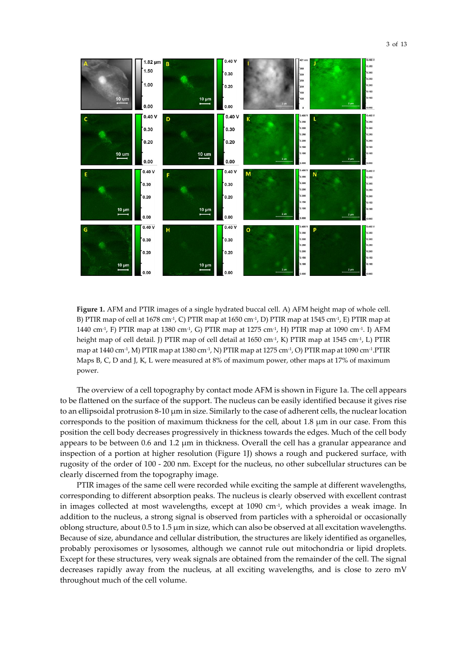

**Figure 1.** AFM and PTIR images of a single hydrated buccal cell. A) AFM height map of whole cell. B) PTIR map of cell at 1678 cm<sup>-1</sup>, C) PTIR map at 1650 cm<sup>-1</sup>, D) PTIR map at 1545 cm<sup>-1</sup>, E) PTIR map at 1440 cm<sup>-1</sup>, F) PTIR map at 1380 cm<sup>-1</sup>, G) PTIR map at 1275 cm<sup>-1</sup>, H) PTIR map at 1090 cm<sup>-1</sup>. I) AFM height map of cell detail. J) PTIR map of cell detail at 1650 cm<sup>-1</sup>, K) PTIR map at 1545 cm<sup>-1</sup>, L) PTIR map at 1440 cm-1 , M) PTIR map at 1380 cm-1 , N) PTIR map at 1275 cm-1 , O) PTIR map at 1090 cm-1 .PTIR Maps B, C, D and J, K, L were measured at 8% of maximum power, other maps at 17% of maximum power.

The overview of a cell topography by contact mode AFM is shown in Figure 1a. The cell appears to be flattened on the surface of the support. The nucleus can be easily identified because it gives rise to an ellipsoidal protrusion 8-10 µm in size. Similarly to the case of adherent cells, the nuclear location corresponds to the position of maximum thickness for the cell, about 1.8 µm in our case. From this position the cell body decreases progressively in thickness towards the edges. Much of the cell body appears to be between  $0.6$  and  $1.2 \mu m$  in thickness. Overall the cell has a granular appearance and inspection of a portion at higher resolution (Figure 1J) shows a rough and puckered surface, with rugosity of the order of 100 - 200 nm. Except for the nucleus, no other subcellular structures can be clearly discerned from the topography image.

PTIR images of the same cell were recorded while exciting the sample at different wavelengths, corresponding to different absorption peaks. The nucleus is clearly observed with excellent contrast in images collected at most wavelengths, except at 1090 cm-1 , which provides a weak image. In addition to the nucleus, a strong signal is observed from particles with a spheroidal or occasionally oblong structure, about 0.5 to 1.5 µm in size, which can also be observed at all excitation wavelengths. Because of size, abundance and cellular distribution, the structures are likely identified as organelles, probably peroxisomes or lysosomes, although we cannot rule out mitochondria or lipid droplets. Except for these structures, very weak signals are obtained from the remainder of the cell. The signal decreases rapidly away from the nucleus, at all exciting wavelengths, and is close to zero mV throughout much of the cell volume.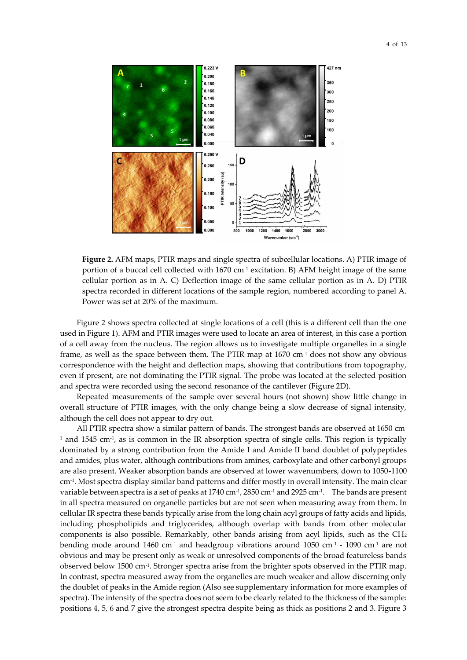

**Figure 2.** AFM maps, PTIR maps and single spectra of subcellular locations. A) PTIR image of portion of a buccal cell collected with  $1670 \text{ cm}^{-1}$  excitation. B) AFM height image of the same cellular portion as in A. C) Deflection image of the same cellular portion as in A. D) PTIR spectra recorded in different locations of the sample region, numbered according to panel A. Power was set at 20% of the maximum.

Figure 2 shows spectra collected at single locations of a cell (this is a different cell than the one used in Figure 1). AFM and PTIR images were used to locate an area of interest, in this case a portion of a cell away from the nucleus. The region allows us to investigate multiple organelles in a single frame, as well as the space between them. The PTIR map at 1670 cm-1 does not show any obvious correspondence with the height and deflection maps, showing that contributions from topography, even if present, are not dominating the PTIR signal. The probe was located at the selected position and spectra were recorded using the second resonance of the cantilever (Figure 2D).

Repeated measurements of the sample over several hours (not shown) show little change in overall structure of PTIR images, with the only change being a slow decrease of signal intensity, although the cell does not appear to dry out.

All PTIR spectra show a similar pattern of bands. The strongest bands are observed at 1650 cm- $^{\text{\tiny{1}}}$  and 1545 cm $^{\text{\tiny{1}}}$ , as is common in the IR absorption spectra of single cells. This region is typically dominated by a strong contribution from the Amide I and Amide II band doublet of polypeptides and amides, plus water, although contributions from amines, carboxylate and other carbonyl groups are also present. Weaker absorption bands are observed at lower wavenumbers, down to 1050-1100 cm-1 . Most spectra display similar band patterns and differ mostly in overall intensity. The main clear variable between spectra is a set of peaks at 1740 cm-1 , 2850 cm-1 and 2925 cm-1 . The bands are present in all spectra measured on organelle particles but are not seen when measuring away from them. In cellular IR spectra these bands typically arise from the long chain acyl groups of fatty acids and lipids, including phospholipids and triglycerides, although overlap with bands from other molecular components is also possible. Remarkably, other bands arising from acyl lipids, such as the CH<sup>2</sup> bending mode around 1460 cm-1 and headgroup vibrations around 1050 cm-1 - 1090 cm-1 are not obvious and may be present only as weak or unresolved components of the broad featureless bands observed below 1500 cm-1 . Stronger spectra arise from the brighter spots observed in the PTIR map. In contrast, spectra measured away from the organelles are much weaker and allow discerning only the doublet of peaks in the Amide region (Also see supplementary information for more examples of spectra). The intensity of the spectra does not seem to be clearly related to the thickness of the sample: positions 4, 5, 6 and 7 give the strongest spectra despite being as thick as positions 2 and 3. Figure 3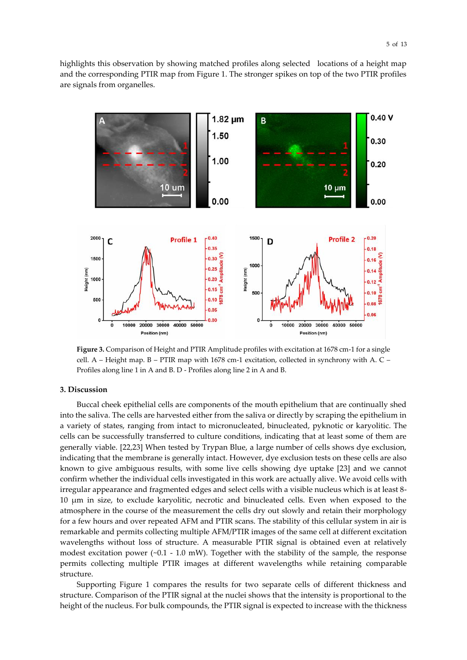highlights this observation by showing matched profiles along selected locations of a height map and the corresponding PTIR map from Figure 1. The stronger spikes on top of the two PTIR profiles are signals from organelles.



**Figure 3.** Comparison of Height and PTIR Amplitude profiles with excitation at 1678 cm-1 for a single cell. A – Height map. B – PTIR map with 1678 cm-1 excitation, collected in synchrony with A. C – Profiles along line 1 in A and B. D - Profiles along line 2 in A and B.

# **3. Discussion**

Buccal cheek epithelial cells are components of the mouth epithelium that are continually shed into the saliva. The cells are harvested either from the saliva or directly by scraping the epithelium in a variety of states, ranging from intact to micronucleated, binucleated, pyknotic or karyolitic. The cells can be successfully transferred to culture conditions, indicating that at least some of them are generally viable. [22,23] When tested by Trypan Blue, a large number of cells shows dye exclusion, indicating that the membrane is generally intact. However, dye exclusion tests on these cells are also known to give ambiguous results, with some live cells showing dye uptake [23] and we cannot confirm whether the individual cells investigated in this work are actually alive. We avoid cells with irregular appearance and fragmented edges and select cells with a visible nucleus which is at least 8- 10 µm in size, to exclude karyolitic, necrotic and binucleated cells. Even when exposed to the atmosphere in the course of the measurement the cells dry out slowly and retain their morphology for a few hours and over repeated AFM and PTIR scans. The stability of this cellular system in air is remarkable and permits collecting multiple AFM/PTIR images of the same cell at different excitation wavelengths without loss of structure. A measurable PTIR signal is obtained even at relatively modest excitation power (~0.1 - 1.0 mW). Together with the stability of the sample, the response permits collecting multiple PTIR images at different wavelengths while retaining comparable structure.

Supporting Figure 1 compares the results for two separate cells of different thickness and structure. Comparison of the PTIR signal at the nuclei shows that the intensity is proportional to the height of the nucleus. For bulk compounds, the PTIR signal is expected to increase with the thickness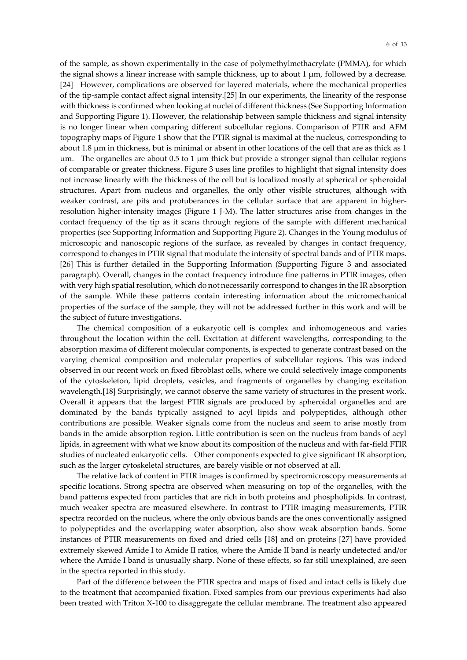of the sample, as shown experimentally in the case of polymethylmethacrylate (PMMA), for which the signal shows a linear increase with sample thickness, up to about 1 µm, followed by a decrease. [24] However, complications are observed for layered materials, where the mechanical properties of the tip-sample contact affect signal intensity.[25] In our experiments, the linearity of the response with thickness is confirmed when looking at nuclei of different thickness (See Supporting Information and Supporting Figure 1). However, the relationship between sample thickness and signal intensity is no longer linear when comparing different subcellular regions. Comparison of PTIR and AFM topography maps of Figure 1 show that the PTIR signal is maximal at the nucleus, corresponding to about 1.8 µm in thickness, but is minimal or absent in other locations of the cell that are as thick as 1  $\mu$ m. The organelles are about 0.5 to 1  $\mu$ m thick but provide a stronger signal than cellular regions of comparable or greater thickness. Figure 3 uses line profiles to highlight that signal intensity does not increase linearly with the thickness of the cell but is localized mostly at spherical or spheroidal structures. Apart from nucleus and organelles, the only other visible structures, although with weaker contrast, are pits and protuberances in the cellular surface that are apparent in higherresolution higher-intensity images (Figure 1 J-M). The latter structures arise from changes in the contact frequency of the tip as it scans through regions of the sample with different mechanical properties (see Supporting Information and Supporting Figure 2). Changes in the Young modulus of microscopic and nanoscopic regions of the surface, as revealed by changes in contact frequency, correspond to changes in PTIR signal that modulate the intensity of spectral bands and of PTIR maps. [26] This is further detailed in the Supporting Information (Supporting Figure 3 and associated paragraph). Overall, changes in the contact frequency introduce fine patterns in PTIR images, often with very high spatial resolution, which do not necessarily correspond to changes in the IR absorption of the sample. While these patterns contain interesting information about the micromechanical properties of the surface of the sample, they will not be addressed further in this work and will be the subject of future investigations.

The chemical composition of a eukaryotic cell is complex and inhomogeneous and varies throughout the location within the cell. Excitation at different wavelengths, corresponding to the absorption maxima of different molecular components, is expected to generate contrast based on the varying chemical composition and molecular properties of subcellular regions. This was indeed observed in our recent work on fixed fibroblast cells, where we could selectively image components of the cytoskeleton, lipid droplets, vesicles, and fragments of organelles by changing excitation wavelength.[18] Surprisingly, we cannot observe the same variety of structures in the present work. Overall it appears that the largest PTIR signals are produced by spheroidal organelles and are dominated by the bands typically assigned to acyl lipids and polypeptides, although other contributions are possible. Weaker signals come from the nucleus and seem to arise mostly from bands in the amide absorption region. Little contribution is seen on the nucleus from bands of acyl lipids, in agreement with what we know about its composition of the nucleus and with far-field FTIR studies of nucleated eukaryotic cells. Other components expected to give significant IR absorption, such as the larger cytoskeletal structures, are barely visible or not observed at all.

The relative lack of content in PTIR images is confirmed by spectromicroscopy measurements at specific locations. Strong spectra are observed when measuring on top of the organelles, with the band patterns expected from particles that are rich in both proteins and phospholipids. In contrast, much weaker spectra are measured elsewhere. In contrast to PTIR imaging measurements, PTIR spectra recorded on the nucleus, where the only obvious bands are the ones conventionally assigned to polypeptides and the overlapping water absorption, also show weak absorption bands. Some instances of PTIR measurements on fixed and dried cells [18] and on proteins [27] have provided extremely skewed Amide I to Amide II ratios, where the Amide II band is nearly undetected and/or where the Amide I band is unusually sharp. None of these effects, so far still unexplained, are seen in the spectra reported in this study.

Part of the difference between the PTIR spectra and maps of fixed and intact cells is likely due to the treatment that accompanied fixation. Fixed samples from our previous experiments had also been treated with Triton X-100 to disaggregate the cellular membrane. The treatment also appeared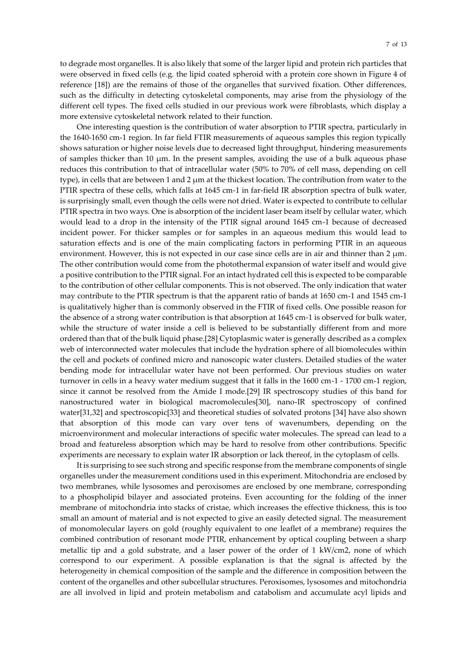to degrade most organelles. It is also likely that some of the larger lipid and protein rich particles that were observed in fixed cells (e.g. the lipid coated spheroid with a protein core shown in Figure 4 of reference [18]) are the remains of those of the organelles that survived fixation. Other differences, such as the difficulty in detecting cytoskeletal components, may arise from the physiology of the different cell types. The fixed cells studied in our previous work were fibroblasts, which display a more extensive cytoskeletal network related to their function.

One interesting question is the contribution of water absorption to PTIR spectra, particularly in the 1640-1650 cm-1 region. In far field FTIR measurements of aqueous samples this region typically shows saturation or higher noise levels due to decreased light throughput, hindering measurements of samples thicker than 10  $\mu$ m. In the present samples, avoiding the use of a bulk aqueous phase reduces this contribution to that of intracellular water (50% to 70% of cell mass, depending on cell type), in cells that are between 1 and 2  $\mu$ m at the thickest location. The contribution from water to the PTIR spectra of these cells, which falls at 1645 cm-1 in far-field IR absorption spectra of bulk water, is surprisingly small, even though the cells were not dried. Water is expected to contribute to cellular PTIR spectra in two ways. One is absorption of the incident laser beam itself by cellular water, which would lead to a drop in the intensity of the PTIR signal around 1645 cm-1 because of decreased incident power. For thicker samples or for samples in an aqueous medium this would lead to saturation effects and is one of the main complicating factors in performing PTIR in an aqueous environment. However, this is not expected in our case since cells are in air and thinner than  $2 \mu m$ . The other contribution would come from the photothermal expansion of water itself and would give a positive contribution to the PTIR signal. For an intact hydrated cell this is expected to be comparable to the contribution of other cellular components. This is not observed. The only indication that water may contribute to the PTIR spectrum is that the apparent ratio of bands at 1650 cm-1 and 1545 cm-1 is qualitatively higher than is commonly observed in the FTIR of fixed cells. One possible reason for the absence of a strong water contribution is that absorption at 1645 cm-1 is observed for bulk water, while the structure of water inside a cell is believed to be substantially different from and more ordered than that of the bulk liquid phase.[28] Cytoplasmic water is generally described as a complex web of interconnected water molecules that include the hydration sphere of all biomolecules within the cell and pockets of confined micro and nanoscopic water clusters. Detailed studies of the water bending mode for intracellular water have not been performed. Our previous studies on water turnover in cells in a heavy water medium suggest that it falls in the 1600 cm-1 - 1700 cm-1 region, since it cannot be resolved from the Amide I mode.[29] IR spectroscopy studies of this band for nanostructured water in biological macromolecules[30], nano-IR spectroscopy of confined water[31,32] and spectroscopic[33] and theoretical studies of solvated protons [34] have also shown that absorption of this mode can vary over tens of wavenumbers, depending on the microenvironment and molecular interactions of specific water molecules. The spread can lead to a broad and featureless absorption which may be hard to resolve from other contributions. Specific experiments are necessary to explain water IR absorption or lack thereof, in the cytoplasm of cells.

It is surprising to see such strong and specific response from the membrane components of single organelles under the measurement conditions used in this experiment. Mitochondria are enclosed by two membranes, while lysosomes and peroxisomes are enclosed by one membrane, corresponding to a phospholipid bilayer and associated proteins. Even accounting for the folding of the inner membrane of mitochondria into stacks of cristae, which increases the effective thickness, this is too small an amount of material and is not expected to give an easily detected signal. The measurement of monomolecular layers on gold (roughly equivalent to one leaflet of a membrane) requires the combined contribution of resonant mode PTIR, enhancement by optical coupling between a sharp metallic tip and a gold substrate, and a laser power of the order of 1 kW/cm2, none of which correspond to our experiment. A possible explanation is that the signal is affected by the heterogeneity in chemical composition of the sample and the difference in composition between the content of the organelles and other subcellular structures. Peroxisomes, lysosomes and mitochondria are all involved in lipid and protein metabolism and catabolism and accumulate acyl lipids and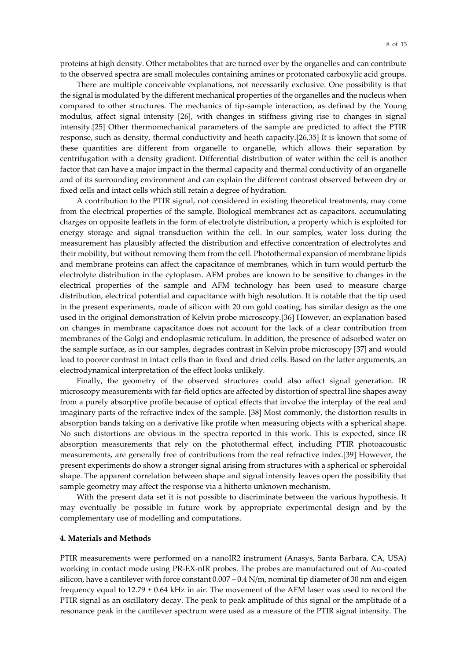proteins at high density. Other metabolites that are turned over by the organelles and can contribute to the observed spectra are small molecules containing amines or protonated carboxylic acid groups.

There are multiple conceivable explanations, not necessarily exclusive. One possibility is that the signal is modulated by the different mechanical properties of the organelles and the nucleus when compared to other structures. The mechanics of tip-sample interaction, as defined by the Young modulus, affect signal intensity [26], with changes in stiffness giving rise to changes in signal intensity.[25] Other thermomechanical parameters of the sample are predicted to affect the PTIR response, such as density, thermal conductivity and heath capacity.[26,35] It is known that some of these quantities are different from organelle to organelle, which allows their separation by centrifugation with a density gradient. Differential distribution of water within the cell is another factor that can have a major impact in the thermal capacity and thermal conductivity of an organelle and of its surrounding environment and can explain the different contrast observed between dry or fixed cells and intact cells which still retain a degree of hydration.

A contribution to the PTIR signal, not considered in existing theoretical treatments, may come from the electrical properties of the sample. Biological membranes act as capacitors, accumulating charges on opposite leaflets in the form of electrolyte distribution, a property which is exploited for energy storage and signal transduction within the cell. In our samples, water loss during the measurement has plausibly affected the distribution and effective concentration of electrolytes and their mobility, but without removing them from the cell. Photothermal expansion of membrane lipids and membrane proteins can affect the capacitance of membranes, which in turn would perturb the electrolyte distribution in the cytoplasm. AFM probes are known to be sensitive to changes in the electrical properties of the sample and AFM technology has been used to measure charge distribution, electrical potential and capacitance with high resolution. It is notable that the tip used in the present experiments, made of silicon with 20 nm gold coating, has similar design as the one used in the original demonstration of Kelvin probe microscopy.[36] However, an explanation based on changes in membrane capacitance does not account for the lack of a clear contribution from membranes of the Golgi and endoplasmic reticulum. In addition, the presence of adsorbed water on the sample surface, as in our samples, degrades contrast in Kelvin probe microscopy [37] and would lead to poorer contrast in intact cells than in fixed and dried cells. Based on the latter arguments, an electrodynamical interpretation of the effect looks unlikely.

Finally, the geometry of the observed structures could also affect signal generation. IR microscopy measurements with far-field optics are affected by distortion of spectral line shapes away from a purely absorptive profile because of optical effects that involve the interplay of the real and imaginary parts of the refractive index of the sample. [38] Most commonly, the distortion results in absorption bands taking on a derivative like profile when measuring objects with a spherical shape. No such distortions are obvious in the spectra reported in this work. This is expected, since IR absorption measurements that rely on the photothermal effect, including PTIR photoacoustic measurements, are generally free of contributions from the real refractive index.[39] However, the present experiments do show a stronger signal arising from structures with a spherical or spheroidal shape. The apparent correlation between shape and signal intensity leaves open the possibility that sample geometry may affect the response via a hitherto unknown mechanism.

With the present data set it is not possible to discriminate between the various hypothesis. It may eventually be possible in future work by appropriate experimental design and by the complementary use of modelling and computations.

#### **4. Materials and Methods**

PTIR measurements were performed on a nanoIR2 instrument (Anasys, Santa Barbara, CA, USA) working in contact mode using PR-EX-nIR probes. The probes are manufactured out of Au-coated silicon, have a cantilever with force constant 0.007 – 0.4 N/m, nominal tip diameter of 30 nm and eigen frequency equal to  $12.79 \pm 0.64$  kHz in air. The movement of the AFM laser was used to record the PTIR signal as an oscillatory decay. The peak to peak amplitude of this signal or the amplitude of a resonance peak in the cantilever spectrum were used as a measure of the PTIR signal intensity. The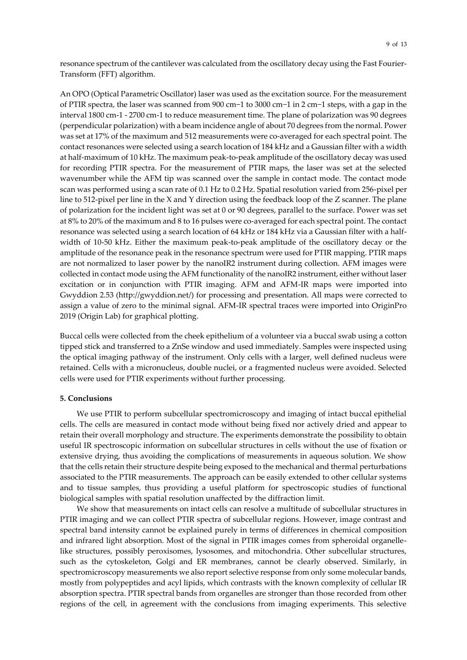resonance spectrum of the cantilever was calculated from the oscillatory decay using the Fast Fourier-Transform (FFT) algorithm.

An OPO (Optical Parametric Oscillator) laser was used as the excitation source. For the measurement of PTIR spectra, the laser was scanned from 900 cm−1 to 3000 cm−1 in 2 cm−1 steps, with a gap in the interval 1800 cm-1 - 2700 cm-1 to reduce measurement time. The plane of polarization was 90 degrees (perpendicular polarization) with a beam incidence angle of about 70 degrees from the normal. Power was set at 17% of the maximum and 512 measurements were co-averaged for each spectral point. The contact resonances were selected using a search location of 184 kHz and a Gaussian filter with a width at half-maximum of 10 kHz. The maximum peak-to-peak amplitude of the oscillatory decay was used for recording PTIR spectra. For the measurement of PTIR maps, the laser was set at the selected wavenumber while the AFM tip was scanned over the sample in contact mode. The contact mode scan was performed using a scan rate of 0.1 Hz to 0.2 Hz. Spatial resolution varied from 256-pixel per line to 512-pixel per line in the X and Y direction using the feedback loop of the Z scanner. The plane of polarization for the incident light was set at 0 or 90 degrees, parallel to the surface. Power was set at 8% to 20% of the maximum and 8 to 16 pulses were co-averaged for each spectral point. The contact resonance was selected using a search location of 64 kHz or 184 kHz via a Gaussian filter with a halfwidth of 10-50 kHz. Either the maximum peak-to-peak amplitude of the oscillatory decay or the amplitude of the resonance peak in the resonance spectrum were used for PTIR mapping. PTIR maps are not normalized to laser power by the nanoIR2 instrument during collection. AFM images were collected in contact mode using the AFM functionality of the nanoIR2 instrument, either without laser excitation or in conjunction with PTIR imaging. AFM and AFM-IR maps were imported into Gwyddion 2.53 (http://gwyddion.net/) for processing and presentation. All maps were corrected to assign a value of zero to the minimal signal. AFM-IR spectral traces were imported into OriginPro 2019 (Origin Lab) for graphical plotting.

Buccal cells were collected from the cheek epithelium of a volunteer via a buccal swab using a cotton tipped stick and transferred to a ZnSe window and used immediately. Samples were inspected using the optical imaging pathway of the instrument. Only cells with a larger, well defined nucleus were retained. Cells with a micronucleus, double nuclei, or a fragmented nucleus were avoided. Selected cells were used for PTIR experiments without further processing.

# **5. Conclusions**

We use PTIR to perform subcellular spectromicroscopy and imaging of intact buccal epithelial cells. The cells are measured in contact mode without being fixed nor actively dried and appear to retain their overall morphology and structure. The experiments demonstrate the possibility to obtain useful IR spectroscopic information on subcellular structures in cells without the use of fixation or extensive drying, thus avoiding the complications of measurements in aqueous solution. We show that the cells retain their structure despite being exposed to the mechanical and thermal perturbations associated to the PTIR measurements. The approach can be easily extended to other cellular systems and to tissue samples, thus providing a useful platform for spectroscopic studies of functional biological samples with spatial resolution unaffected by the diffraction limit.

We show that measurements on intact cells can resolve a multitude of subcellular structures in PTIR imaging and we can collect PTIR spectra of subcellular regions. However, image contrast and spectral band intensity cannot be explained purely in terms of differences in chemical composition and infrared light absorption. Most of the signal in PTIR images comes from spheroidal organellelike structures, possibly peroxisomes, lysosomes, and mitochondria. Other subcellular structures, such as the cytoskeleton, Golgi and ER membranes, cannot be clearly observed. Similarly, in spectromicroscopy measurements we also report selective response from only some molecular bands, mostly from polypeptides and acyl lipids, which contrasts with the known complexity of cellular IR absorption spectra. PTIR spectral bands from organelles are stronger than those recorded from other regions of the cell, in agreement with the conclusions from imaging experiments. This selective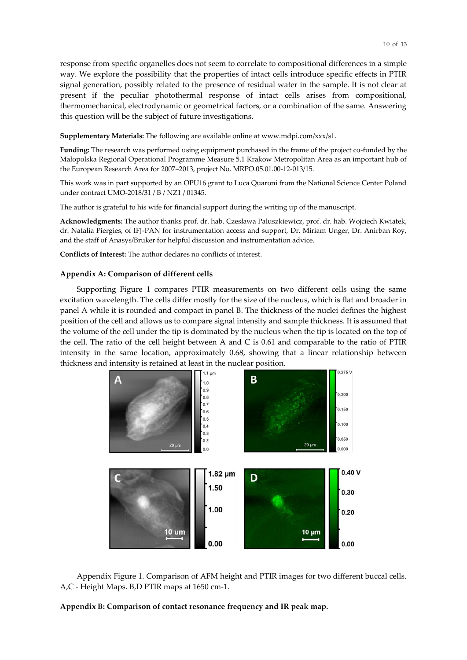response from specific organelles does not seem to correlate to compositional differences in a simple way. We explore the possibility that the properties of intact cells introduce specific effects in PTIR signal generation, possibly related to the presence of residual water in the sample. It is not clear at present if the peculiar photothermal response of intact cells arises from compositional, thermomechanical, electrodynamic or geometrical factors, or a combination of the same. Answering this question will be the subject of future investigations.

**Supplementary Materials:** The following are available online at www.mdpi.com/xxx/s1.

**Funding:** The research was performed using equipment purchased in the frame of the project co-funded by the Małopolska Regional Operational Programme Measure 5.1 Krakow Metropolitan Area as an important hub of the European Research Area for 2007–2013, project No. MRPO.05.01.00-12-013/15.

This work was in part supported by an OPU16 grant to Luca Quaroni from the National Science Center Poland under contract UMO-2018/31 / B / NZ1 / 01345.

The author is grateful to his wife for financial support during the writing up of the manuscript.

**Acknowledgments:** The author thanks prof. dr. hab. Czesława Paluszkiewicz, prof. dr. hab. Wojciech Kwiatek, dr. Natalia Piergies, of IFJ-PAN for instrumentation access and support, Dr. Miriam Unger, Dr. Anirban Roy, and the staff of Anasys/Bruker for helpful discussion and instrumentation advice.

**Conflicts of Interest:** The author declares no conflicts of interest.

#### **Appendix A: Comparison of different cells**

Supporting Figure 1 compares PTIR measurements on two different cells using the same excitation wavelength. The cells differ mostly for the size of the nucleus, which is flat and broader in panel A while it is rounded and compact in panel B. The thickness of the nuclei defines the highest position of the cell and allows us to compare signal intensity and sample thickness. It is assumed that the volume of the cell under the tip is dominated by the nucleus when the tip is located on the top of the cell. The ratio of the cell height between A and C is 0.61 and comparable to the ratio of PTIR intensity in the same location, approximately 0.68, showing that a linear relationship between thickness and intensity is retained at least in the nuclear position.



Appendix Figure 1. Comparison of AFM height and PTIR images for two different buccal cells. A,C - Height Maps. B,D PTIR maps at 1650 cm-1.

#### **Appendix B: Comparison of contact resonance frequency and IR peak map.**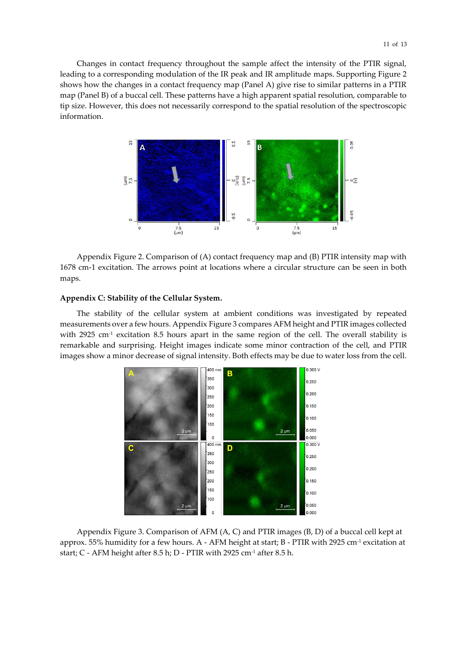Changes in contact frequency throughout the sample affect the intensity of the PTIR signal, leading to a corresponding modulation of the IR peak and IR amplitude maps. Supporting Figure 2 shows how the changes in a contact frequency map (Panel A) give rise to similar patterns in a PTIR map (Panel B) of a buccal cell. These patterns have a high apparent spatial resolution, comparable to tip size. However, this does not necessarily correspond to the spatial resolution of the spectroscopic information.



Appendix Figure 2. Comparison of (A) contact frequency map and (B) PTIR intensity map with 1678 cm-1 excitation. The arrows point at locations where a circular structure can be seen in both maps.

#### **Appendix C: Stability of the Cellular System.**

The stability of the cellular system at ambient conditions was investigated by repeated measurements over a few hours. Appendix Figure 3 compares AFM height and PTIR images collected with 2925 cm<sup>-1</sup> excitation 8.5 hours apart in the same region of the cell. The overall stability is remarkable and surprising. Height images indicate some minor contraction of the cell, and PTIR images show a minor decrease of signal intensity. Both effects may be due to water loss from the cell.



Appendix Figure 3. Comparison of AFM (A, C) and PTIR images (B, D) of a buccal cell kept at approx. 55% humidity for a few hours. A - AFM height at start; B - PTIR with 2925 cm<sup>-1</sup> excitation at start; C - AFM height after 8.5 h; D - PTIR with 2925 cm-1 after 8.5 h.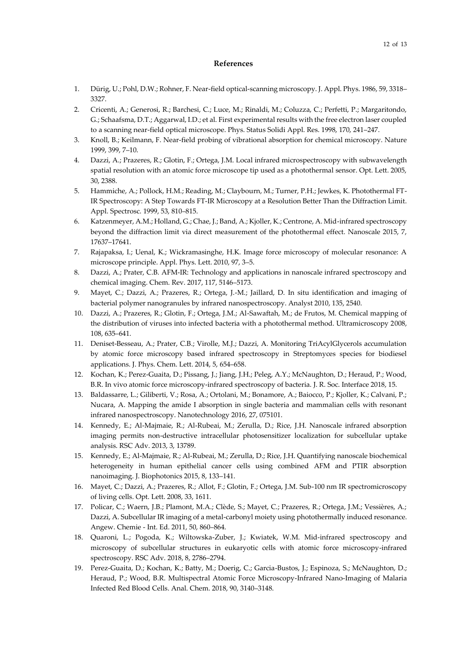# **References**

- 1. Dürig, U.; Pohl, D.W.; Rohner, F. Near-field optical-scanning microscopy. J. Appl. Phys. 1986, 59, 3318– 3327.
- 2. Cricenti, A.; Generosi, R.; Barchesi, C.; Luce, M.; Rinaldi, M.; Coluzza, C.; Perfetti, P.; Margaritondo, G.; Schaafsma, D.T.; Aggarwal, I.D.; et al. First experimental results with the free electron laser coupled to a scanning near-field optical microscope. Phys. Status Solidi Appl. Res. 1998, 170, 241–247.
- 3. Knoll, B.; Keilmann, F. Near-field probing of vibrational absorption for chemical microscopy. Nature 1999, 399, 7–10.
- 4. Dazzi, A.; Prazeres, R.; Glotin, F.; Ortega, J.M. Local infrared microspectroscopy with subwavelength spatial resolution with an atomic force microscope tip used as a photothermal sensor. Opt. Lett. 2005, 30, 2388.
- 5. Hammiche, A.; Pollock, H.M.; Reading, M.; Claybourn, M.; Turner, P.H.; Jewkes, K. Photothermal FT-IR Spectroscopy: A Step Towards FT-IR Microscopy at a Resolution Better Than the Diffraction Limit. Appl. Spectrosc. 1999, 53, 810–815.
- 6. Katzenmeyer, A.M.; Holland, G.; Chae, J.; Band, A.; Kjoller, K.; Centrone, A. Mid-infrared spectroscopy beyond the diffraction limit via direct measurement of the photothermal effect. Nanoscale 2015, 7, 17637–17641.
- 7. Rajapaksa, I.; Uenal, K.; Wickramasinghe, H.K. Image force microscopy of molecular resonance: A microscope principle. Appl. Phys. Lett. 2010, 97, 3–5.
- 8. Dazzi, A.; Prater, C.B. AFM-IR: Technology and applications in nanoscale infrared spectroscopy and chemical imaging. Chem. Rev. 2017, 117, 5146–5173.
- 9. Mayet, C.; Dazzi, A.; Prazeres, R.; Ortega, J.-M.; Jaillard, D. In situ identification and imaging of bacterial polymer nanogranules by infrared nanospectroscopy. Analyst 2010, 135, 2540.
- 10. Dazzi, A.; Prazeres, R.; Glotin, F.; Ortega, J.M.; Al-Sawaftah, M.; de Frutos, M. Chemical mapping of the distribution of viruses into infected bacteria with a photothermal method. Ultramicroscopy 2008, 108, 635–641.
- 11. Deniset-Besseau, A.; Prater, C.B.; Virolle, M.J.; Dazzi, A. Monitoring TriAcylGlycerols accumulation by atomic force microscopy based infrared spectroscopy in Streptomyces species for biodiesel applications. J. Phys. Chem. Lett. 2014, 5, 654–658.
- 12. Kochan, K.; Perez-Guaita, D.; Pissang, J.; Jiang, J.H.; Peleg, A.Y.; McNaughton, D.; Heraud, P.; Wood, B.R. In vivo atomic force microscopy-infrared spectroscopy of bacteria. J. R. Soc. Interface 2018, 15.
- 13. Baldassarre, L.; Giliberti, V.; Rosa, A.; Ortolani, M.; Bonamore, A.; Baiocco, P.; Kjoller, K.; Calvani, P.; Nucara, A. Mapping the amide I absorption in single bacteria and mammalian cells with resonant infrared nanospectroscopy. Nanotechnology 2016, 27, 075101.
- 14. Kennedy, E.; Al-Majmaie, R.; Al-Rubeai, M.; Zerulla, D.; Rice, J.H. Nanoscale infrared absorption imaging permits non-destructive intracellular photosensitizer localization for subcellular uptake analysis. RSC Adv. 2013, 3, 13789.
- 15. Kennedy, E.; Al-Majmaie, R.; Al-Rubeai, M.; Zerulla, D.; Rice, J.H. Quantifying nanoscale biochemical heterogeneity in human epithelial cancer cells using combined AFM and PTIR absorption nanoimaging. J. Biophotonics 2015, 8, 133–141.
- 16. Mayet, C.; Dazzi, A.; Prazeres, R.; Allot, F.; Glotin, F.; Ortega, J.M. Sub-100 nm IR spectromicroscopy of living cells. Opt. Lett. 2008, 33, 1611.
- 17. Policar, C.; Waern, J.B.; Plamont, M.A.; Clède, S.; Mayet, C.; Prazeres, R.; Ortega, J.M.; Vessières, A.; Dazzi, A. Subcellular IR imaging of a metal-carbonyl moiety using photothermally induced resonance. Angew. Chemie - Int. Ed. 2011, 50, 860–864.
- 18. Quaroni, L.; Pogoda, K.; Wiltowska-Zuber, J.; Kwiatek, W.M. Mid-infrared spectroscopy and microscopy of subcellular structures in eukaryotic cells with atomic force microscopy-infrared spectroscopy. RSC Adv. 2018, 8, 2786–2794.
- 19. Perez-Guaita, D.; Kochan, K.; Batty, M.; Doerig, C.; Garcia-Bustos, J.; Espinoza, S.; McNaughton, D.; Heraud, P.; Wood, B.R. Multispectral Atomic Force Microscopy-Infrared Nano-Imaging of Malaria Infected Red Blood Cells. Anal. Chem. 2018, 90, 3140–3148.